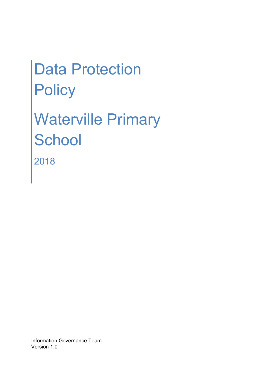# Data Protection **Policy**

Waterville Primary **School** 2018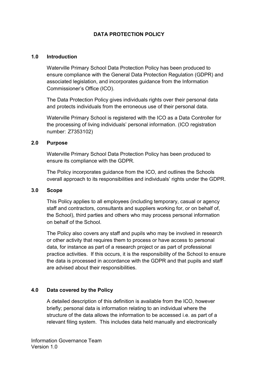## DATA PROTECTION POLICY

#### 1.0 Introduction

 Waterville Primary School Data Protection Policy has been produced to ensure compliance with the General Data Protection Regulation (GDPR) and associated legislation, and incorporates guidance from the Information Commissioner's Office (ICO).

 The Data Protection Policy gives individuals rights over their personal data and protects individuals from the erroneous use of their personal data.

 Waterville Primary School is registered with the ICO as a Data Controller for the processing of living individuals' personal information. (ICO registration number: Z7353102)

#### 2.0 Purpose

 Waterville Primary School Data Protection Policy has been produced to ensure its compliance with the GDPR.

 The Policy incorporates guidance from the ICO, and outlines the Schools overall approach to its responsibilities and individuals' rights under the GDPR.

#### 3.0 Scope

 This Policy applies to all employees (including temporary, casual or agency staff and contractors, consultants and suppliers working for, or on behalf of, the School), third parties and others who may process personal information on behalf of the School.

 The Policy also covers any staff and pupils who may be involved in research or other activity that requires them to process or have access to personal data, for instance as part of a research project or as part of professional practice activities. If this occurs, it is the responsibility of the School to ensure the data is processed in accordance with the GDPR and that pupils and staff are advised about their responsibilities.

#### 4.0 Data covered by the Policy

 A detailed description of this definition is available from the ICO, however briefly; personal data is information relating to an individual where the structure of the data allows the information to be accessed i.e. as part of a relevant filing system. This includes data held manually and electronically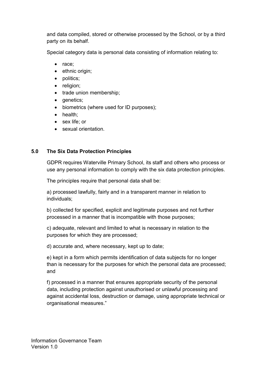and data compiled, stored or otherwise processed by the School, or by a third party on its behalf.

Special category data is personal data consisting of information relating to:

- race;
- ethnic origin;
- politics;
- religion;
- trade union membership;
- genetics;
- biometrics (where used for ID purposes);
- health;
- sex life; or
- sexual orientation.

# 5.0 The Six Data Protection Principles

 GDPR requires Waterville Primary School, its staff and others who process or use any personal information to comply with the six data protection principles.

The principles require that personal data shall be:

 a) processed lawfully, fairly and in a transparent manner in relation to individuals;

b) collected for specified, explicit and legitimate purposes and not further processed in a manner that is incompatible with those purposes;

c) adequate, relevant and limited to what is necessary in relation to the purposes for which they are processed;

d) accurate and, where necessary, kept up to date;

e) kept in a form which permits identification of data subjects for no longer than is necessary for the purposes for which the personal data are processed; and

f) processed in a manner that ensures appropriate security of the personal data, including protection against unauthorised or unlawful processing and against accidental loss, destruction or damage, using appropriate technical or organisational measures."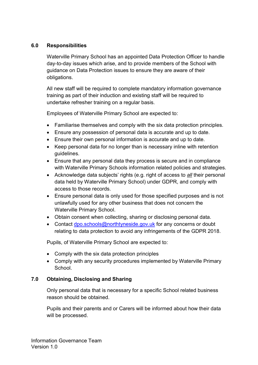### 6.0 Responsibilities

 Waterville Primary School has an appointed Data Protection Officer to handle day-to-day issues which arise, and to provide members of the School with guidance on Data Protection issues to ensure they are aware of their obligations.

 All new staff will be required to complete mandatory information governance training as part of their induction and existing staff will be required to undertake refresher training on a regular basis.

Employees of Waterville Primary School are expected to:

- Familiarise themselves and comply with the six data protection principles.
- Ensure any possession of personal data is accurate and up to date.
- Ensure their own personal information is accurate and up to date.
- Keep personal data for no longer than is necessary inline with retention guidelines.
- Ensure that any personal data they process is secure and in compliance with Waterville Primary Schools information related policies and strategies.
- Acknowledge data subjects' rights (e.g. right of access to all their personal data held by Waterville Primary School) under GDPR, and comply with access to those records.
- Ensure personal data is only used for those specified purposes and is not unlawfully used for any other business that does not concern the Waterville Primary School.
- Obtain consent when collecting, sharing or disclosing personal data.
- Contact dpo.schools@northtyneside.gov.uk for any concerns or doubt relating to data protection to avoid any infringements of the GDPR 2018.

Pupils, of Waterville Primary School are expected to:

- Comply with the six data protection principles
- Comply with any security procedures implemented by Waterville Primary School.

# 7.0 Obtaining, Disclosing and Sharing

 Only personal data that is necessary for a specific School related business reason should be obtained.

 Pupils and their parents and or Carers will be informed about how their data will be processed.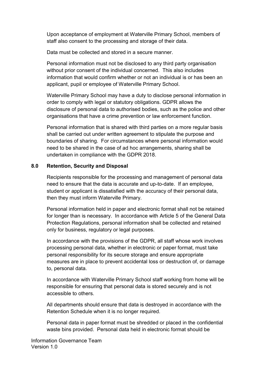Upon acceptance of employment at Waterville Primary School, members of staff also consent to the processing and storage of their data.

Data must be collected and stored in a secure manner.

 Personal information must not be disclosed to any third party organisation without prior consent of the individual concerned. This also includes information that would confirm whether or not an individual is or has been an applicant, pupil or employee of Waterville Primary School.

 Waterville Primary School may have a duty to disclose personal information in order to comply with legal or statutory obligations. GDPR allows the disclosure of personal data to authorised bodies, such as the police and other organisations that have a crime prevention or law enforcement function.

 Personal information that is shared with third parties on a more regular basis shall be carried out under written agreement to stipulate the purpose and boundaries of sharing. For circumstances where personal information would need to be shared in the case of ad hoc arrangements, sharing shall be undertaken in compliance with the GDPR 2018.

## 8.0 Retention, Security and Disposal

Recipients responsible for the processing and management of personal data need to ensure that the data is accurate and up-to-date. If an employee, student or applicant is dissatisfied with the accuracy of their personal data, then they must inform Waterville Primary.

 Personal information held in paper and electronic format shall not be retained for longer than is necessary. In accordance with Article 5 of the General Data Protection Regulations, personal information shall be collected and retained only for business, regulatory or legal purposes.

In accordance with the provisions of the GDPR, all staff whose work involves processing personal data, whether in electronic or paper format, must take personal responsibility for its secure storage and ensure appropriate measures are in place to prevent accidental loss or destruction of, or damage to, personal data.

 In accordance with Waterville Primary School staff working from home will be responsible for ensuring that personal data is stored securely and is not accessible to others.

 All departments should ensure that data is destroyed in accordance with the Retention Schedule when it is no longer required.

 Personal data in paper format must be shredded or placed in the confidential waste bins provided. Personal data held in electronic format should be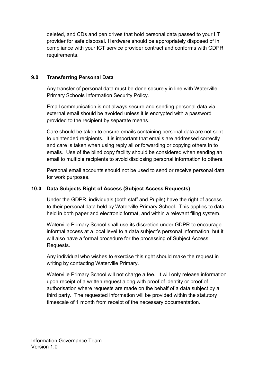deleted, and CDs and pen drives that hold personal data passed to your I.T provider for safe disposal. Hardware should be appropriately disposed of in compliance with your ICT service provider contract and conforms with GDPR requirements.

## 9.0 Transferring Personal Data

 Any transfer of personal data must be done securely in line with Waterville Primary Schools Information Security Policy.

 Email communication is not always secure and sending personal data via external email should be avoided unless it is encrypted with a password provided to the recipient by separate means.

 Care should be taken to ensure emails containing personal data are not sent to unintended recipients. It is important that emails are addressed correctly and care is taken when using reply all or forwarding or copying others in to emails. Use of the blind copy facility should be considered when sending an email to multiple recipients to avoid disclosing personal information to others.

 Personal email accounts should not be used to send or receive personal data for work purposes.

# 10.0 Data Subjects Right of Access (Subject Access Requests)

 Under the GDPR, individuals (both staff and Pupils) have the right of access to their personal data held by Waterville Primary School. This applies to data held in both paper and electronic format, and within a relevant filing system.

 Waterville Primary School shall use its discretion under GDPR to encourage informal access at a local level to a data subject's personal information, but it will also have a formal procedure for the processing of Subject Access Requests.

 Any individual who wishes to exercise this right should make the request in writing by contacting Waterville Primary.

 Waterville Primary School will not charge a fee. It will only release information upon receipt of a written request along with proof of identity or proof of authorisation where requests are made on the behalf of a data subject by a third party. The requested information will be provided within the statutory timescale of 1 month from receipt of the necessary documentation.